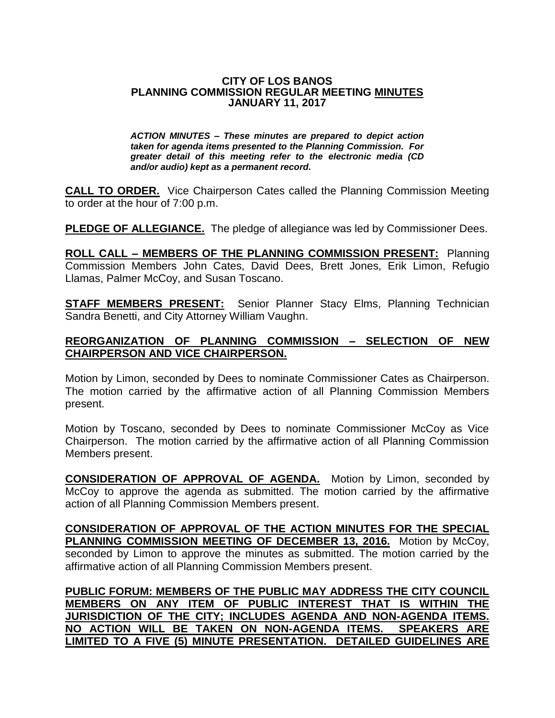#### **CITY OF LOS BANOS PLANNING COMMISSION REGULAR MEETING MINUTES JANUARY 11, 2017**

*ACTION MINUTES – These minutes are prepared to depict action taken for agenda items presented to the Planning Commission. For greater detail of this meeting refer to the electronic media (CD and/or audio) kept as a permanent record.*

**CALL TO ORDER.** Vice Chairperson Cates called the Planning Commission Meeting to order at the hour of 7:00 p.m.

**PLEDGE OF ALLEGIANCE.** The pledge of allegiance was led by Commissioner Dees.

**ROLL CALL – MEMBERS OF THE PLANNING COMMISSION PRESENT:** Planning Commission Members John Cates, David Dees, Brett Jones, Erik Limon, Refugio Llamas, Palmer McCoy, and Susan Toscano.

**STAFF MEMBERS PRESENT:** Senior Planner Stacy Elms, Planning Technician Sandra Benetti, and City Attorney William Vaughn.

### **REORGANIZATION OF PLANNING COMMISSION – SELECTION OF NEW CHAIRPERSON AND VICE CHAIRPERSON.**

Motion by Limon, seconded by Dees to nominate Commissioner Cates as Chairperson. The motion carried by the affirmative action of all Planning Commission Members present.

Motion by Toscano, seconded by Dees to nominate Commissioner McCoy as Vice Chairperson. The motion carried by the affirmative action of all Planning Commission Members present.

**CONSIDERATION OF APPROVAL OF AGENDA.** Motion by Limon, seconded by McCoy to approve the agenda as submitted. The motion carried by the affirmative action of all Planning Commission Members present.

**CONSIDERATION OF APPROVAL OF THE ACTION MINUTES FOR THE SPECIAL**  PLANNING COMMISSION MEETING OF DECEMBER 13, 2016. Motion by McCoy, seconded by Limon to approve the minutes as submitted. The motion carried by the affirmative action of all Planning Commission Members present.

**PUBLIC FORUM: MEMBERS OF THE PUBLIC MAY ADDRESS THE CITY COUNCIL MEMBERS ON ANY ITEM OF PUBLIC INTEREST THAT IS WITHIN THE JURISDICTION OF THE CITY; INCLUDES AGENDA AND NON-AGENDA ITEMS. NO ACTION WILL BE TAKEN ON NON-AGENDA ITEMS. SPEAKERS ARE LIMITED TO A FIVE (5) MINUTE PRESENTATION. DETAILED GUIDELINES ARE**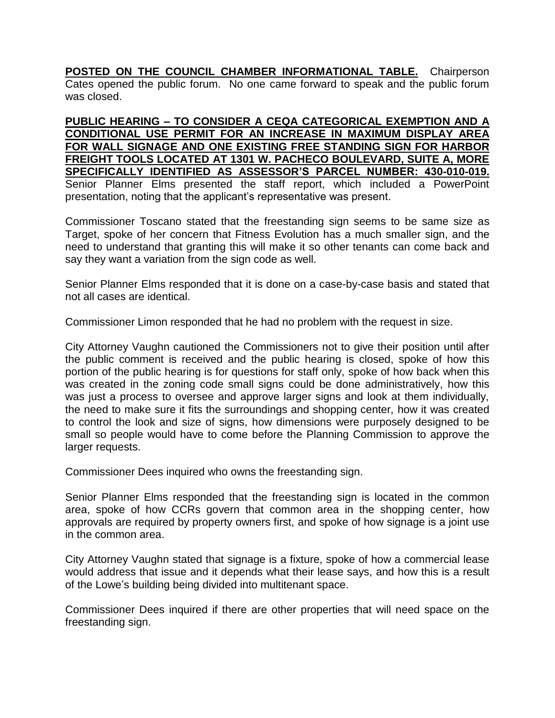**POSTED ON THE COUNCIL CHAMBER INFORMATIONAL TABLE.** Chairperson Cates opened the public forum. No one came forward to speak and the public forum was closed.

**PUBLIC HEARING – TO CONSIDER A CEQA CATEGORICAL EXEMPTION AND A CONDITIONAL USE PERMIT FOR AN INCREASE IN MAXIMUM DISPLAY AREA FOR WALL SIGNAGE AND ONE EXISTING FREE STANDING SIGN FOR HARBOR FREIGHT TOOLS LOCATED AT 1301 W. PACHECO BOULEVARD, SUITE A, MORE SPECIFICALLY IDENTIFIED AS ASSESSOR'S PARCEL NUMBER: 430-010-019.** Senior Planner Elms presented the staff report, which included a PowerPoint presentation, noting that the applicant's representative was present.

Commissioner Toscano stated that the freestanding sign seems to be same size as Target, spoke of her concern that Fitness Evolution has a much smaller sign, and the need to understand that granting this will make it so other tenants can come back and say they want a variation from the sign code as well.

Senior Planner Elms responded that it is done on a case-by-case basis and stated that not all cases are identical.

Commissioner Limon responded that he had no problem with the request in size.

City Attorney Vaughn cautioned the Commissioners not to give their position until after the public comment is received and the public hearing is closed, spoke of how this portion of the public hearing is for questions for staff only, spoke of how back when this was created in the zoning code small signs could be done administratively, how this was just a process to oversee and approve larger signs and look at them individually, the need to make sure it fits the surroundings and shopping center, how it was created to control the look and size of signs, how dimensions were purposely designed to be small so people would have to come before the Planning Commission to approve the larger requests.

Commissioner Dees inquired who owns the freestanding sign.

Senior Planner Elms responded that the freestanding sign is located in the common area, spoke of how CCRs govern that common area in the shopping center, how approvals are required by property owners first, and spoke of how signage is a joint use in the common area.

City Attorney Vaughn stated that signage is a fixture, spoke of how a commercial lease would address that issue and it depends what their lease says, and how this is a result of the Lowe's building being divided into multitenant space.

Commissioner Dees inquired if there are other properties that will need space on the freestanding sign.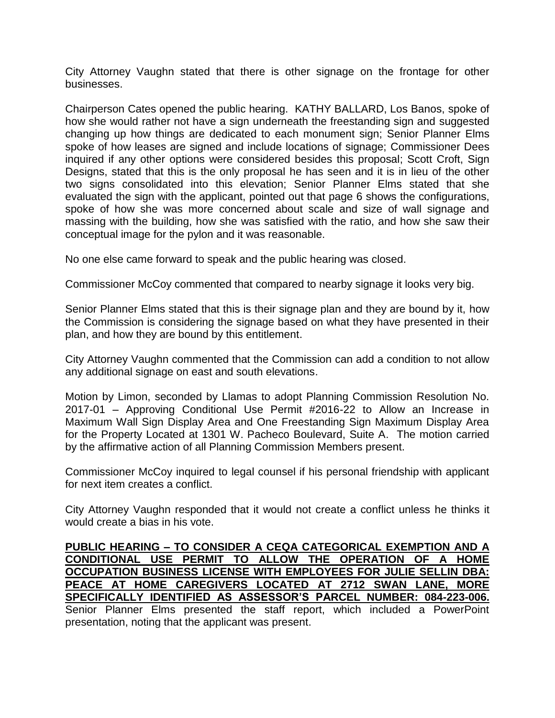City Attorney Vaughn stated that there is other signage on the frontage for other businesses.

Chairperson Cates opened the public hearing. KATHY BALLARD, Los Banos, spoke of how she would rather not have a sign underneath the freestanding sign and suggested changing up how things are dedicated to each monument sign; Senior Planner Elms spoke of how leases are signed and include locations of signage; Commissioner Dees inquired if any other options were considered besides this proposal; Scott Croft, Sign Designs, stated that this is the only proposal he has seen and it is in lieu of the other two signs consolidated into this elevation; Senior Planner Elms stated that she evaluated the sign with the applicant, pointed out that page 6 shows the configurations, spoke of how she was more concerned about scale and size of wall signage and massing with the building, how she was satisfied with the ratio, and how she saw their conceptual image for the pylon and it was reasonable.

No one else came forward to speak and the public hearing was closed.

Commissioner McCoy commented that compared to nearby signage it looks very big.

Senior Planner Elms stated that this is their signage plan and they are bound by it, how the Commission is considering the signage based on what they have presented in their plan, and how they are bound by this entitlement.

City Attorney Vaughn commented that the Commission can add a condition to not allow any additional signage on east and south elevations.

Motion by Limon, seconded by Llamas to adopt Planning Commission Resolution No. 2017-01 – Approving Conditional Use Permit #2016-22 to Allow an Increase in Maximum Wall Sign Display Area and One Freestanding Sign Maximum Display Area for the Property Located at 1301 W. Pacheco Boulevard, Suite A. The motion carried by the affirmative action of all Planning Commission Members present.

Commissioner McCoy inquired to legal counsel if his personal friendship with applicant for next item creates a conflict.

City Attorney Vaughn responded that it would not create a conflict unless he thinks it would create a bias in his vote.

**PUBLIC HEARING – TO CONSIDER A CEQA CATEGORICAL EXEMPTION AND A CONDITIONAL USE PERMIT TO ALLOW THE OPERATION OF A HOME OCCUPATION BUSINESS LICENSE WITH EMPLOYEES FOR JULIE SELLIN DBA: PEACE AT HOME CAREGIVERS LOCATED AT 2712 SWAN LANE, MORE SPECIFICALLY IDENTIFIED AS ASSESSOR'S PARCEL NUMBER: 084-223-006.** Senior Planner Elms presented the staff report, which included a PowerPoint presentation, noting that the applicant was present.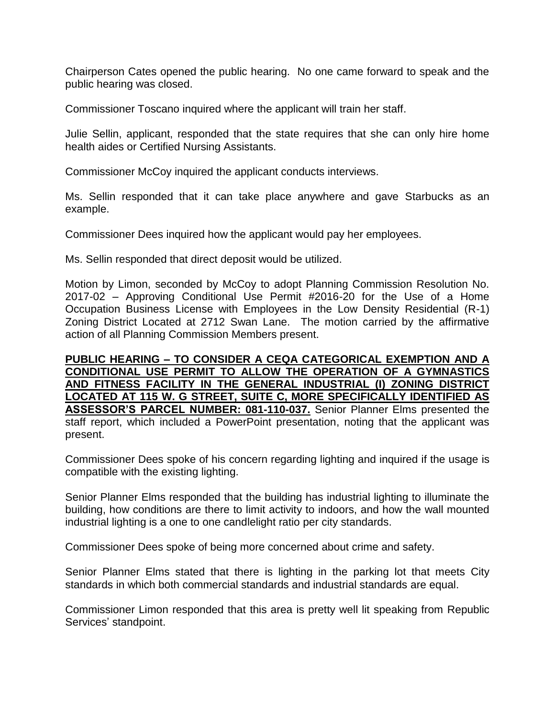Chairperson Cates opened the public hearing. No one came forward to speak and the public hearing was closed.

Commissioner Toscano inquired where the applicant will train her staff.

Julie Sellin, applicant, responded that the state requires that she can only hire home health aides or Certified Nursing Assistants.

Commissioner McCoy inquired the applicant conducts interviews.

Ms. Sellin responded that it can take place anywhere and gave Starbucks as an example.

Commissioner Dees inquired how the applicant would pay her employees.

Ms. Sellin responded that direct deposit would be utilized.

Motion by Limon, seconded by McCoy to adopt Planning Commission Resolution No. 2017-02 – Approving Conditional Use Permit #2016-20 for the Use of a Home Occupation Business License with Employees in the Low Density Residential (R-1) Zoning District Located at 2712 Swan Lane. The motion carried by the affirmative action of all Planning Commission Members present.

**PUBLIC HEARING – TO CONSIDER A CEQA CATEGORICAL EXEMPTION AND A CONDITIONAL USE PERMIT TO ALLOW THE OPERATION OF A GYMNASTICS AND FITNESS FACILITY IN THE GENERAL INDUSTRIAL (I) ZONING DISTRICT LOCATED AT 115 W. G STREET, SUITE C, MORE SPECIFICALLY IDENTIFIED AS ASSESSOR'S PARCEL NUMBER: 081-110-037.** Senior Planner Elms presented the staff report, which included a PowerPoint presentation, noting that the applicant was present.

Commissioner Dees spoke of his concern regarding lighting and inquired if the usage is compatible with the existing lighting.

Senior Planner Elms responded that the building has industrial lighting to illuminate the building, how conditions are there to limit activity to indoors, and how the wall mounted industrial lighting is a one to one candlelight ratio per city standards.

Commissioner Dees spoke of being more concerned about crime and safety.

Senior Planner Elms stated that there is lighting in the parking lot that meets City standards in which both commercial standards and industrial standards are equal.

Commissioner Limon responded that this area is pretty well lit speaking from Republic Services' standpoint.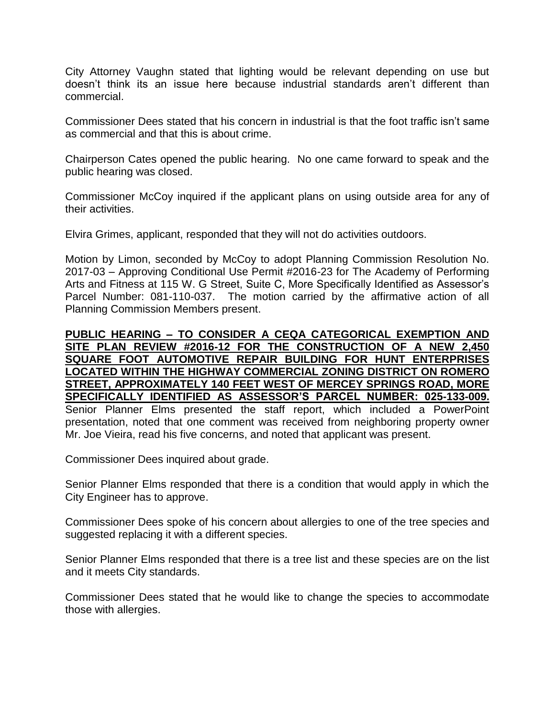City Attorney Vaughn stated that lighting would be relevant depending on use but doesn't think its an issue here because industrial standards aren't different than commercial.

Commissioner Dees stated that his concern in industrial is that the foot traffic isn't same as commercial and that this is about crime.

Chairperson Cates opened the public hearing. No one came forward to speak and the public hearing was closed.

Commissioner McCoy inquired if the applicant plans on using outside area for any of their activities.

Elvira Grimes, applicant, responded that they will not do activities outdoors.

Motion by Limon, seconded by McCoy to adopt Planning Commission Resolution No. 2017-03 – Approving Conditional Use Permit #2016-23 for The Academy of Performing Arts and Fitness at 115 W. G Street, Suite C, More Specifically Identified as Assessor's Parcel Number: 081-110-037. The motion carried by the affirmative action of all Planning Commission Members present.

#### **PUBLIC HEARING – TO CONSIDER A CEQA CATEGORICAL EXEMPTION AND SITE PLAN REVIEW #2016-12 FOR THE CONSTRUCTION OF A NEW 2,450 SQUARE FOOT AUTOMOTIVE REPAIR BUILDING FOR HUNT ENTERPRISES LOCATED WITHIN THE HIGHWAY COMMERCIAL ZONING DISTRICT ON ROMERO STREET, APPROXIMATELY 140 FEET WEST OF MERCEY SPRINGS ROAD, MORE SPECIFICALLY IDENTIFIED AS ASSESSOR'S PARCEL NUMBER: 025-133-009.** Senior Planner Elms presented the staff report, which included a PowerPoint presentation, noted that one comment was received from neighboring property owner Mr. Joe Vieira, read his five concerns, and noted that applicant was present.

Commissioner Dees inquired about grade.

Senior Planner Elms responded that there is a condition that would apply in which the City Engineer has to approve.

Commissioner Dees spoke of his concern about allergies to one of the tree species and suggested replacing it with a different species.

Senior Planner Elms responded that there is a tree list and these species are on the list and it meets City standards.

Commissioner Dees stated that he would like to change the species to accommodate those with allergies.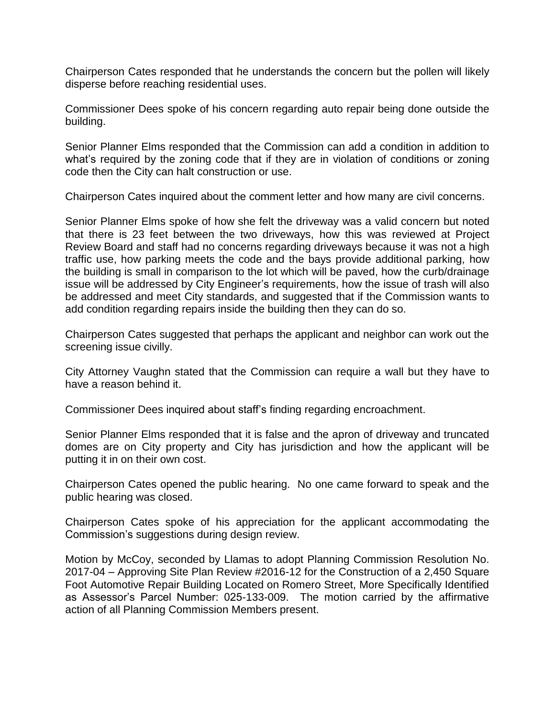Chairperson Cates responded that he understands the concern but the pollen will likely disperse before reaching residential uses.

Commissioner Dees spoke of his concern regarding auto repair being done outside the building.

Senior Planner Elms responded that the Commission can add a condition in addition to what's required by the zoning code that if they are in violation of conditions or zoning code then the City can halt construction or use.

Chairperson Cates inquired about the comment letter and how many are civil concerns.

Senior Planner Elms spoke of how she felt the driveway was a valid concern but noted that there is 23 feet between the two driveways, how this was reviewed at Project Review Board and staff had no concerns regarding driveways because it was not a high traffic use, how parking meets the code and the bays provide additional parking, how the building is small in comparison to the lot which will be paved, how the curb/drainage issue will be addressed by City Engineer's requirements, how the issue of trash will also be addressed and meet City standards, and suggested that if the Commission wants to add condition regarding repairs inside the building then they can do so.

Chairperson Cates suggested that perhaps the applicant and neighbor can work out the screening issue civilly.

City Attorney Vaughn stated that the Commission can require a wall but they have to have a reason behind it.

Commissioner Dees inquired about staff's finding regarding encroachment.

Senior Planner Elms responded that it is false and the apron of driveway and truncated domes are on City property and City has jurisdiction and how the applicant will be putting it in on their own cost.

Chairperson Cates opened the public hearing. No one came forward to speak and the public hearing was closed.

Chairperson Cates spoke of his appreciation for the applicant accommodating the Commission's suggestions during design review.

Motion by McCoy, seconded by Llamas to adopt Planning Commission Resolution No. 2017-04 – Approving Site Plan Review #2016-12 for the Construction of a 2,450 Square Foot Automotive Repair Building Located on Romero Street, More Specifically Identified as Assessor's Parcel Number: 025-133-009. The motion carried by the affirmative action of all Planning Commission Members present.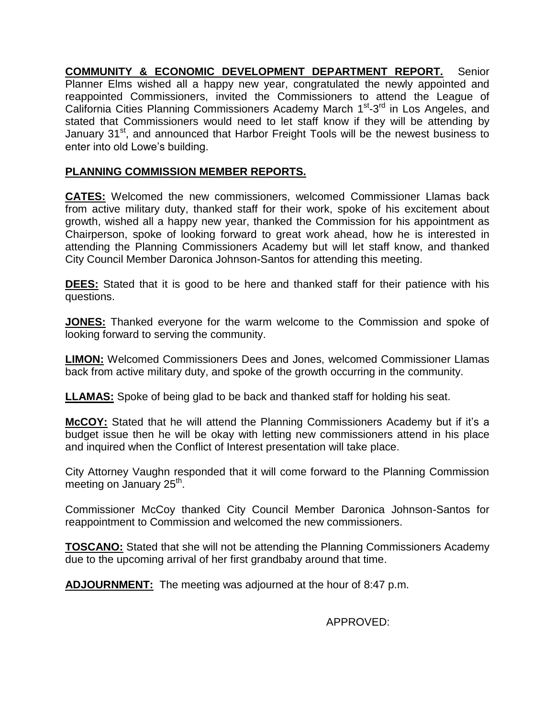**COMMUNITY & ECONOMIC DEVELOPMENT DEPARTMENT REPORT.** Senior Planner Elms wished all a happy new year, congratulated the newly appointed and reappointed Commissioners, invited the Commissioners to attend the League of California Cities Planning Commissioners Academy March 1<sup>st</sup>-3<sup>rd</sup> in Los Angeles, and stated that Commissioners would need to let staff know if they will be attending by January 31<sup>st</sup>, and announced that Harbor Freight Tools will be the newest business to enter into old Lowe's building.

## **PLANNING COMMISSION MEMBER REPORTS.**

**CATES:** Welcomed the new commissioners, welcomed Commissioner Llamas back from active military duty, thanked staff for their work, spoke of his excitement about growth, wished all a happy new year, thanked the Commission for his appointment as Chairperson, spoke of looking forward to great work ahead, how he is interested in attending the Planning Commissioners Academy but will let staff know, and thanked City Council Member Daronica Johnson-Santos for attending this meeting.

**DEES:** Stated that it is good to be here and thanked staff for their patience with his questions.

**JONES:** Thanked everyone for the warm welcome to the Commission and spoke of looking forward to serving the community.

**LIMON:** Welcomed Commissioners Dees and Jones, welcomed Commissioner Llamas back from active military duty, and spoke of the growth occurring in the community.

**LLAMAS:** Spoke of being glad to be back and thanked staff for holding his seat.

**McCOY:** Stated that he will attend the Planning Commissioners Academy but if it's a budget issue then he will be okay with letting new commissioners attend in his place and inquired when the Conflict of Interest presentation will take place.

City Attorney Vaughn responded that it will come forward to the Planning Commission meeting on January 25<sup>th</sup>.

Commissioner McCoy thanked City Council Member Daronica Johnson-Santos for reappointment to Commission and welcomed the new commissioners.

**TOSCANO:** Stated that she will not be attending the Planning Commissioners Academy due to the upcoming arrival of her first grandbaby around that time.

**ADJOURNMENT:** The meeting was adjourned at the hour of 8:47 p.m.

APPROVED: